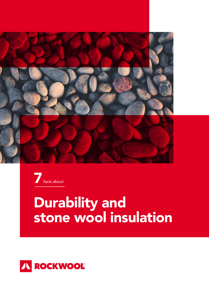



# Durability and stone wool insulation

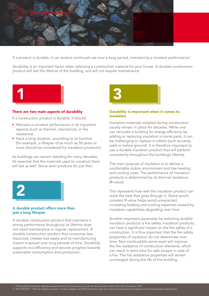

If a product is durable, it can endure continued use over a long period, maintaining a constant performance<sup>1</sup>.

Durability is an important factor when selecting a construction material for your house. A durable construction product will last the lifetime of the building, and will not require maintenance.



### There are two main aspects of durability

If a construction product is durable, it should:

- Maintain a constant performance in all important aspects (such as thermal, mechanical, or fire resistance).
- Have a long duration, according to its function (for example, a lifespan of as much as 50 years or more should be considered for insulation products<sup>2</sup>).

As buildings can remain standing for many decades, it's essential that the materials used to construct them will last as well. Stone wool products do just that.



### A durable product offers more than just a long lifespan

A durable construction product that maintains a strong performance throughout its lifetime does not need maintenance or regular replacement. A durable construction product thus consumes less resources, creates less waste and its manufacturing impact is spread over long periods of time. Durability supports eco-efficiency and secures progress towards sustainable consumption and production.



### Durability is important when it comes to insulation

Insulation materials installed during construction usually remain in place for decades. While one can renovate a building for energy efficiency by adding or replacing insulation in some parts, it can be challenging to replace in others (such as cavity walls or below ground). It is therefore important to use a durable insulation product that will perform consistently throughout the building's lifetime.

The main purpose of insulation is to deliver a comfortable indoor environment and low heating and cooling costs. The performance of insulation products is determined by its thermal resistance (R-value).

This represents how well the insulation product can resist the heat that goes through it. Stone wool's constant R-value helps avoid unexpected increasing heating and cooling expenses caused by insulation capabilities degrading over time.

Another important parameter for selecting durable insulation products is fire safety. Insulation products can have a significant impact on the fire safety of a construction. It is thus important that the fire safety properties of insulation do not deteriorate over time. Non-combustible stone wool will improve the fire resistance of construction elements, which can result in extra time for safe escape in case of a fire. The fire resistance properties will remain unchanged during the life of the building.